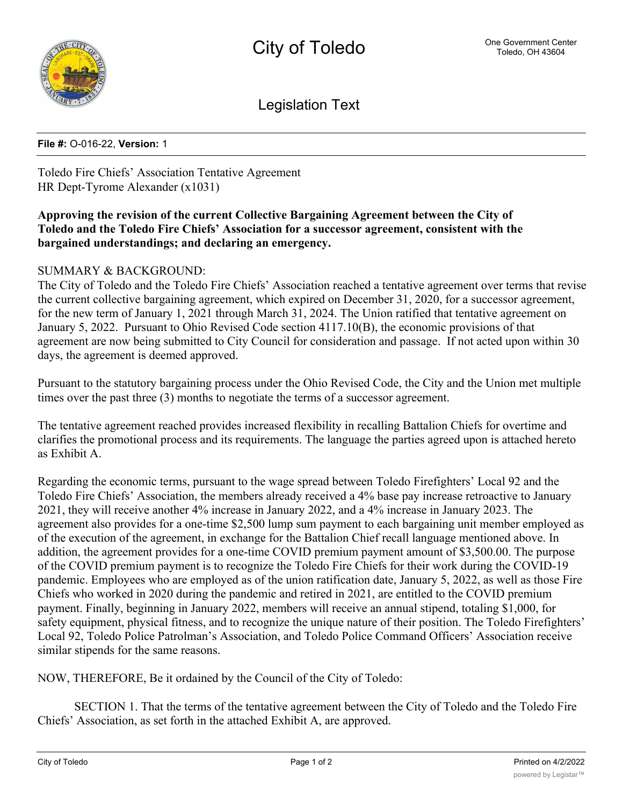

Legislation Text

## **File #:** O-016-22, **Version:** 1

Toledo Fire Chiefs' Association Tentative Agreement HR Dept-Tyrome Alexander (x1031)

## **Approving the revision of the current Collective Bargaining Agreement between the City of Toledo and the Toledo Fire Chiefs' Association for a successor agreement, consistent with the bargained understandings; and declaring an emergency.**

## SUMMARY & BACKGROUND:

The City of Toledo and the Toledo Fire Chiefs' Association reached a tentative agreement over terms that revise the current collective bargaining agreement, which expired on December 31, 2020, for a successor agreement, for the new term of January 1, 2021 through March 31, 2024. The Union ratified that tentative agreement on January 5, 2022. Pursuant to Ohio Revised Code section 4117.10(B), the economic provisions of that agreement are now being submitted to City Council for consideration and passage. If not acted upon within 30 days, the agreement is deemed approved.

Pursuant to the statutory bargaining process under the Ohio Revised Code, the City and the Union met multiple times over the past three (3) months to negotiate the terms of a successor agreement.

The tentative agreement reached provides increased flexibility in recalling Battalion Chiefs for overtime and clarifies the promotional process and its requirements. The language the parties agreed upon is attached hereto as Exhibit A.

Regarding the economic terms, pursuant to the wage spread between Toledo Firefighters' Local 92 and the Toledo Fire Chiefs' Association, the members already received a 4% base pay increase retroactive to January 2021, they will receive another 4% increase in January 2022, and a 4% increase in January 2023. The agreement also provides for a one-time \$2,500 lump sum payment to each bargaining unit member employed as of the execution of the agreement, in exchange for the Battalion Chief recall language mentioned above. In addition, the agreement provides for a one-time COVID premium payment amount of \$3,500.00. The purpose of the COVID premium payment is to recognize the Toledo Fire Chiefs for their work during the COVID-19 pandemic. Employees who are employed as of the union ratification date, January 5, 2022, as well as those Fire Chiefs who worked in 2020 during the pandemic and retired in 2021, are entitled to the COVID premium payment. Finally, beginning in January 2022, members will receive an annual stipend, totaling \$1,000, for safety equipment, physical fitness, and to recognize the unique nature of their position. The Toledo Firefighters' Local 92, Toledo Police Patrolman's Association, and Toledo Police Command Officers' Association receive similar stipends for the same reasons.

NOW, THEREFORE, Be it ordained by the Council of the City of Toledo:

SECTION 1. That the terms of the tentative agreement between the City of Toledo and the Toledo Fire Chiefs' Association, as set forth in the attached Exhibit A, are approved.